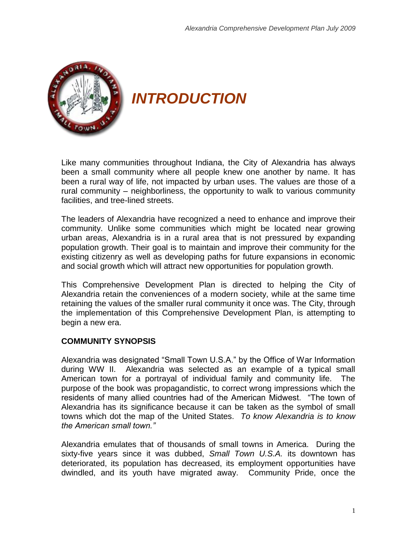

*INTRODUCTION*

Like many communities throughout Indiana, the City of Alexandria has always been a small community where all people knew one another by name. It has been a rural way of life, not impacted by urban uses. The values are those of a rural community – neighborliness, the opportunity to walk to various community facilities, and tree-lined streets.

The leaders of Alexandria have recognized a need to enhance and improve their community. Unlike some communities which might be located near growing urban areas, Alexandria is in a rural area that is not pressured by expanding population growth. Their goal is to maintain and improve their community for the existing citizenry as well as developing paths for future expansions in economic and social growth which will attract new opportunities for population growth.

This Comprehensive Development Plan is directed to helping the City of Alexandria retain the conveniences of a modern society, while at the same time retaining the values of the smaller rural community it once was. The City, through the implementation of this Comprehensive Development Plan, is attempting to begin a new era.

## **COMMUNITY SYNOPSIS**

Alexandria was designated "Small Town U.S.A." by the Office of War Information during WW II. Alexandria was selected as an example of a typical small American town for a portrayal of individual family and community life. The purpose of the book was propagandistic, to correct wrong impressions which the residents of many allied countries had of the American Midwest. "The town of Alexandria has its significance because it can be taken as the symbol of small towns which dot the map of the United States. *To know Alexandria is to know the American small town."*

Alexandria emulates that of thousands of small towns in America. During the sixty-five years since it was dubbed, *Small Town U.S.A.* its downtown has deteriorated, its population has decreased, its employment opportunities have dwindled, and its youth have migrated away. Community Pride, once the